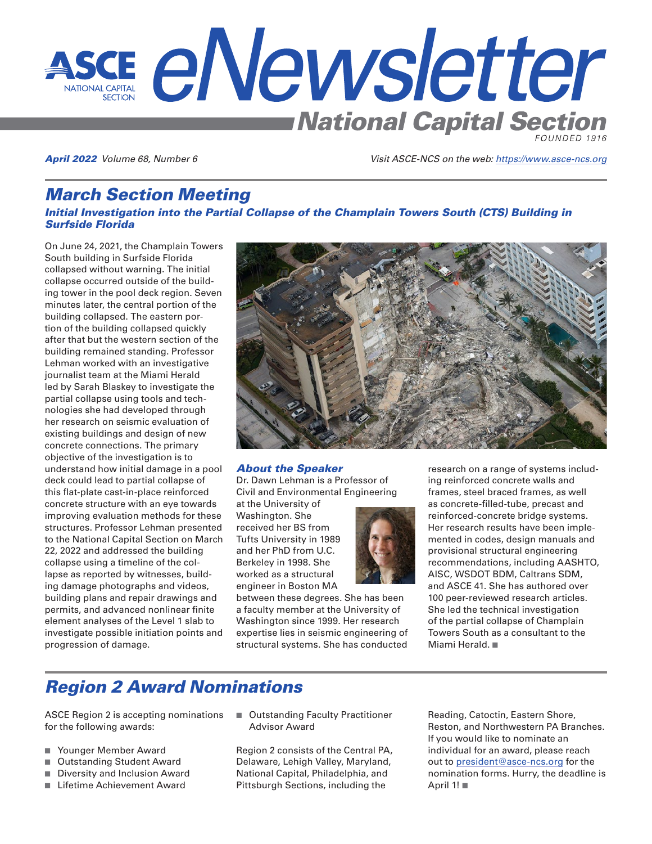

April 2022 *Volume 68, Number 6 Visit ASCE-NCS on the web:<https://www.asce-ncs.org>*

# March Section Meeting

### Initial Investigation into the Partial Collapse of the Champlain Towers South (CTS) Building in Surfside Florida

On June 24, 2021, the Champlain Towers South building in Surfside Florida collapsed without warning. The initial collapse occurred outside of the building tower in the pool deck region. Seven minutes later, the central portion of the building collapsed. The eastern portion of the building collapsed quickly after that but the western section of the building remained standing. Professor Lehman worked with an investigative journalist team at the Miami Herald led by Sarah Blaskey to investigate the partial collapse using tools and technologies she had developed through her research on seismic evaluation of existing buildings and design of new concrete connections. The primary objective of the investigation is to understand how initial damage in a pool deck could lead to partial collapse of this flat-plate cast-in-place reinforced concrete structure with an eye towards improving evaluation methods for these structures. Professor Lehman presented to the National Capital Section on March 22, 2022 and addressed the building collapse using a timeline of the collapse as reported by witnesses, building damage photographs and videos, building plans and repair drawings and permits, and advanced nonlinear finite element analyses of the Level 1 slab to investigate possible initiation points and progression of damage.



### About the Speaker

Dr. Dawn Lehman is a Professor of Civil and Environmental Engineering

at the University of Washington. She received her BS from Tufts University in 1989 and her PhD from U.C. Berkeley in 1998. She worked as a structural engineer in Boston MA

between these degrees. She has been a faculty member at the University of Washington since 1999. Her research expertise lies in seismic engineering of structural systems. She has conducted



research on a range of systems including reinforced concrete walls and frames, steel braced frames, as well as concrete-filled-tube, precast and reinforced-concrete bridge systems. Her research results have been implemented in codes, design manuals and provisional structural engineering recommendations, including AASHTO, AISC, WSDOT BDM, Caltrans SDM, and ASCE 41. She has authored over 100 peer-reviewed research articles. She led the technical investigation of the partial collapse of Champlain Towers South as a consultant to the Miami Herald.  $\blacksquare$ 

# Region 2 Award Nominations

ASCE Region 2 is accepting nominations for the following awards:

- Younger Member Award
- Outstanding Student Award
- Diversity and Inclusion Award
- Lifetime Achievement Award
- Outstanding Faculty Practitioner Advisor Award

Region 2 consists of the Central PA, Delaware, Lehigh Valley, Maryland, National Capital, Philadelphia, and Pittsburgh Sections, including the

Reading, Catoctin, Eastern Shore, Reston, and Northwestern PA Branches. If you would like to nominate an individual for an award, please reach out to [president@asce-ncs.org](mailto:president@asce-ncs.org) for the nomination forms. Hurry, the deadline is April  $1! \blacksquare$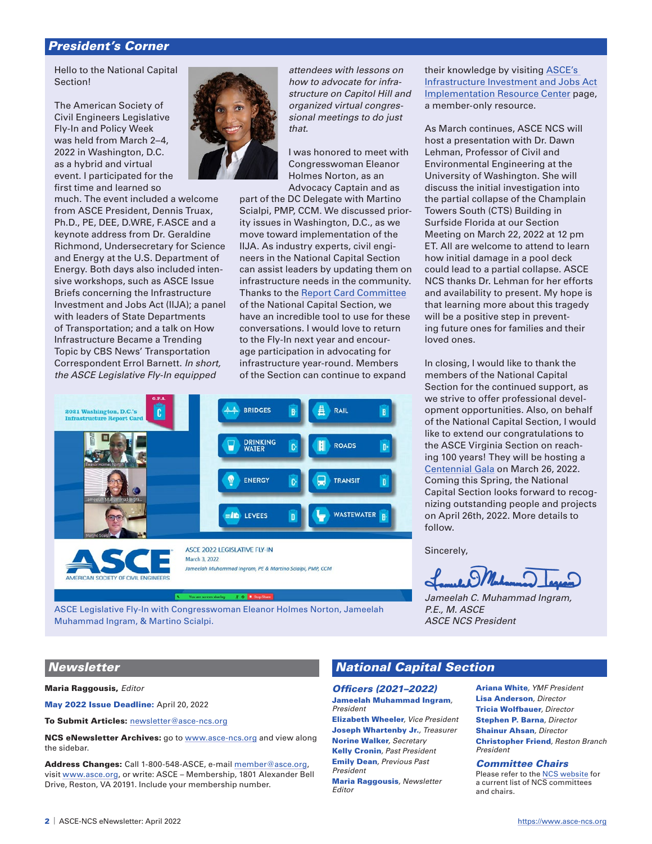## President's Corner

Hello to the National Capital Section!

The American Society of Civil Engineers Legislative Fly-In and Policy Week was held from March 2–4, 2022 in Washington, D.C. as a hybrid and virtual event. I participated for the first time and learned so

much. The event included a welcome from ASCE President, Dennis Truax, Ph.D., PE, DEE, D.WRE, F.ASCE and a keynote address from Dr. Geraldine Richmond, Undersecretary for Science and Energy at the U.S. Department of Energy. Both days also included intensive workshops, such as ASCE Issue Briefs concerning the Infrastructure Investment and Jobs Act (IIJA); a panel with leaders of State Departments of Transportation; and a talk on How Infrastructure Became a Trending Topic by CBS News' Transportation Correspondent Errol Barnett. *In short, the ASCE Legislative Fly-In equipped* 



*attendees with lessons on how to advocate for infrastructure on Capitol Hill and organized virtual congressional meetings to do just that.*

I was honored to meet with Congresswoman Eleanor Holmes Norton, as an Advocacy Captain and as

part of the DC Delegate with Martino Scialpi, PMP, CCM. We discussed priority issues in Washington, D.C., as we move toward implementation of the IIJA. As industry experts, civil engineers in the National Capital Section can assist leaders by updating them on infrastructure needs in the community. Thanks to the [Report Card Committee](https://asce-ncs.org/index.php/special-features/dc-infrastructure-report-card) of the National Capital Section, we have an incredible tool to use for these conversations. I would love to return to the Fly-In next year and encourage participation in advocating for infrastructure year-round. Members of the Section can continue to expand



ASCE Legislative Fly-In with Congresswoman Eleanor Holmes Norton, Jameelah Muhammad Ingram, & Martino Scialpi.

their knowledge by visiting [ASCE's](https://infrastructurereportcard.org/iijaresources/?utm_campaign=GR-2022-2-4-TWiW%20Email&utm_medium=email&utm_source=Eloqua)  [Infrastructure Investment and Jobs Act](https://infrastructurereportcard.org/iijaresources/?utm_campaign=GR-2022-2-4-TWiW%20Email&utm_medium=email&utm_source=Eloqua)  [Implementation Resource Center](https://infrastructurereportcard.org/iijaresources/?utm_campaign=GR-2022-2-4-TWiW%20Email&utm_medium=email&utm_source=Eloqua) page, a member-only resource.

As March continues, ASCE NCS will host a presentation with Dr. Dawn Lehman, Professor of Civil and Environmental Engineering at the University of Washington. She will discuss the initial investigation into the partial collapse of the Champlain Towers South (CTS) Building in Surfside Florida at our Section Meeting on March 22, 2022 at 12 pm ET. All are welcome to attend to learn how initial damage in a pool deck could lead to a partial collapse. ASCE NCS thanks Dr. Lehman for her efforts and availability to present. My hope is that learning more about this tragedy will be a positive step in preventing future ones for families and their loved ones.

In closing, I would like to thank the members of the National Capital Section for the continued support, as we strive to offer professional development opportunities. Also, on behalf of the National Capital Section, I would like to extend our congratulations to the ASCE Virginia Section on reaching 100 years! They will be hosting a [Centennial Gala](https://www.eventbrite.com/e/asce-va-section-centennial-celebration-gala-tickets-169792250191) on March 26, 2022. Coming this Spring, the National Capital Section looks forward to recognizing outstanding people and projects on April 26th, 2022. More details to follow.

Sincerely,

*Jameelah C. Muhammad Ingram, P.E., M. ASCE ASCE NCS President*

### **Newsletter**

Maria Raggousis, *Editor*

May 2022 Issue Deadline: April 20, 2022

To Submit Articles: [newsletter@asce-ncs.org](mailto:newsletter%40asce-ncs.org?subject=)

NCS eNewsletter Archives: go to [www.asce-ncs.org](https://www.asce-ncs.org) and view along the sidebar.

Address Changes: Call 1-800-548-ASCE, e-mail [member@asce.org](mailto:member%40asce.org?subject=), visit [www.asce.org](https://www.asce.org/), or write: ASCE – Membership, 1801 Alexander Bell Drive, Reston, VA 20191. Include your membership number.

## National Capital Section

Officers (2021–2022) Jameelah Muhammad Ingram*, President*

Elizabeth Wheeler*, Vice President* Joseph Whartenby Jr.*, Treasurer* Norine Walker*, Secretary* Kelly Cronin*, Past President* Emily Dean*, Previous Past President*

Maria Raggousis*, Newsletter Editor*

Ariana White*, YMF President* Lisa Anderson*, Director* Tricia Wolfbauer*, Director* Stephen P. Barna*, Director* Shainur Ahsan*, Director* Christopher Friend*, Reston Branch President*

#### Committee Chairs

Please refer to the [NCS website](https://www.asce-ncs.org) for a current list of NCS committees and chairs.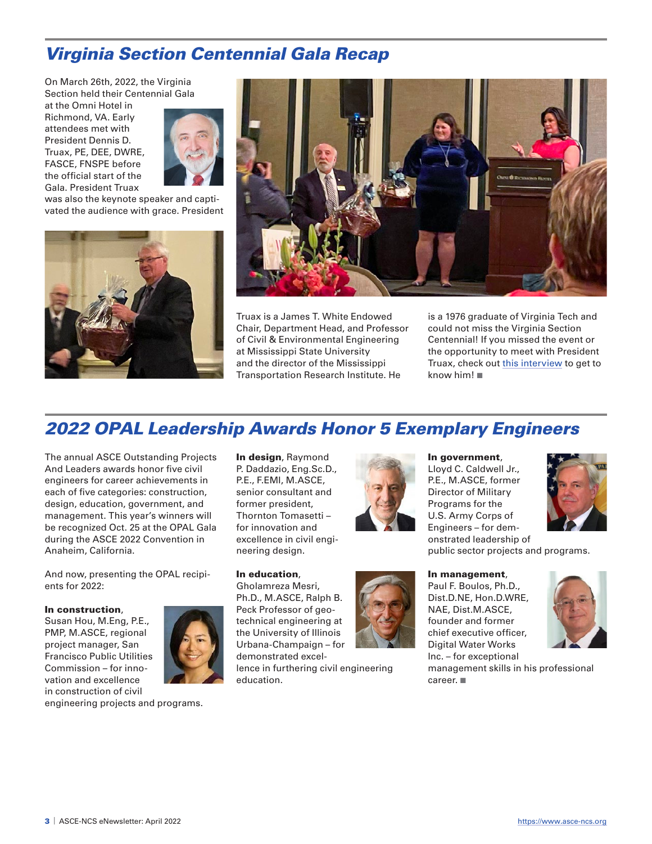# Virginia Section Centennial Gala Recap

On March 26th, 2022, the Virginia Section held their Centennial Gala

at the Omni Hotel in Richmond, VA. Early attendees met with President Dennis D. Truax, PE, DEE, DWRE, FASCE, FNSPE before the official start of the Gala. President Truax



was also the keynote speaker and captivated the audience with grace. President





Truax is a James T. White Endowed Chair, Department Head, and Professor of Civil & Environmental Engineering at Mississippi State University and the director of the Mississippi Transportation Research Institute. He

is a 1976 graduate of Virginia Tech and could not miss the Virginia Section Centennial! If you missed the event or the opportunity to meet with President Truax, check out [this interview](https://www.youtube.com/watch?v=kuHWjy16a-E&ab_channel=AmericanSocietyofCivilEngineers%28ASCE%29) to get to know him! $\blacksquare$ 

# 2022 OPAL Leadership Awards Honor 5 Exemplary Engineers

The annual ASCE Outstanding Projects And Leaders awards honor five civil engineers for career achievements in each of five categories: construction, design, education, government, and management. This year's winners will be recognized Oct. 25 at the OPAL Gala during the ASCE 2022 Convention in Anaheim, California.

And now, presenting the OPAL recipients for 2022:

#### In construction,

Susan Hou, M.Eng, P.E., PMP, M.ASCE, regional project manager, San Francisco Public Utilities Commission – for innovation and excellence in construction of civil

engineering projects and programs.

In design, Raymond P. Daddazio, Eng.Sc.D., P.E., F.EMI, M.ASCE, senior consultant and former president, Thornton Tomasetti – for innovation and excellence in civil engineering design.

In education,

Gholamreza Mesri, Ph.D., M.ASCE, Ralph B. Peck Professor of geotechnical engineering at the University of Illinois Urbana-Champaign – for demonstrated excellence in furthering civil engineering education.



In government, Lloyd C. Caldwell Jr., P.E., M.ASCE, former Director of Military Programs for the U.S. Army Corps of Engineers – for demonstrated leadership of public sector projects and programs.

In management, Paul F. Boulos, Ph.D., Dist.D.NE, Hon.D.WRE, NAE, Dist.M.ASCE, founder and former chief executive officer, Digital Water Works Inc. – for exceptional management skills in his professional career.  $\blacksquare$ 

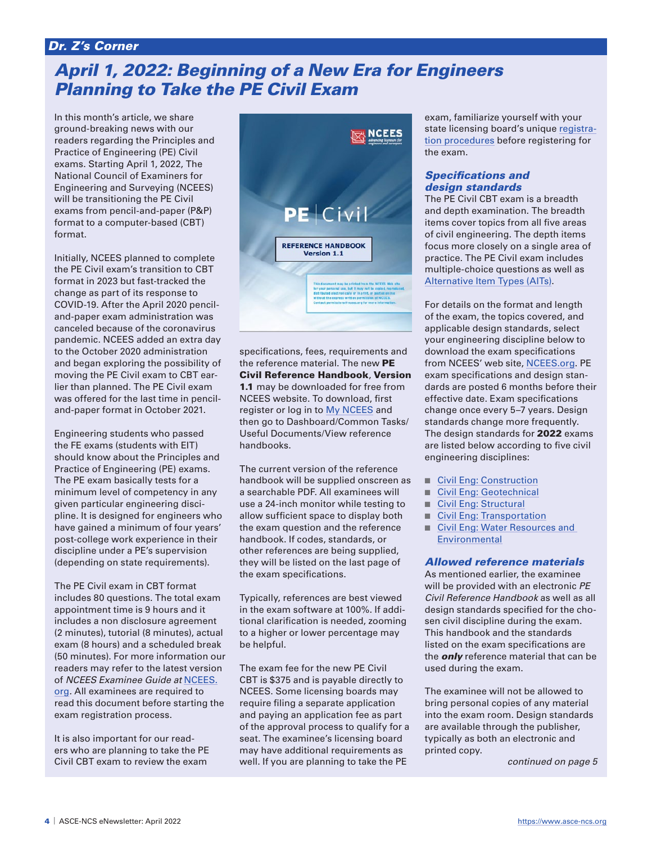# Dr. Z's Corner

# April 1, 2022: Beginning of a New Era for Engineers Planning to Take the PE Civil Exam

In this month's article, we share ground-breaking news with our readers regarding the Principles and Practice of Engineering (PE) Civil exams. Starting April 1, 2022, The National Council of Examiners for Engineering and Surveying (NCEES) will be transitioning the PE Civil exams from pencil-and-paper (P&P) format to a computer-based (CBT) format.

Initially, NCEES planned to complete the PE Civil exam's transition to CBT format in 2023 but fast-tracked the change as part of its response to COVID-19. After the April 2020 penciland-paper exam administration was canceled because of the coronavirus pandemic. NCEES added an extra day to the October 2020 administration and began exploring the possibility of moving the PE Civil exam to CBT earlier than planned. The PE Civil exam was offered for the last time in penciland-paper format in October 2021.

Engineering students who passed the FE exams (students with EIT) should know about the Principles and Practice of Engineering (PE) exams. The PE exam basically tests for a minimum level of competency in any given particular engineering discipline. It is designed for engineers who have gained a minimum of four years' post-college work experience in their discipline under a PE's supervision (depending on state requirements).

The PE Civil exam in CBT format includes 80 questions. The total exam appointment time is 9 hours and it includes a non disclosure agreement (2 minutes), tutorial (8 minutes), actual exam (8 hours) and a scheduled break (50 minutes). For more information our readers may refer to the latest version of *NCEES Examinee Guide at* NCEES. org*.* All examinees are required to read this document before starting the exam registration process.

It is also important for our readers who are planning to take the PE Civil CBT exam to review the exam



specifications, fees, requirements and the reference material. The new PE Civil Reference Handbook, Version 1.1 may be downloaded for free from NCEES website. To download, first register or log in to [My NCEES](https://account.ncees.org/) and then go to Dashboard/Common Tasks/ Useful Documents/View reference handbooks.

The current version of the reference handbook will be supplied onscreen as a searchable PDF. All examinees will use a 24-inch monitor while testing to allow sufficient space to display both the exam question and the reference handbook. If codes, standards, or other references are being supplied, they will be listed on the last page of the exam specifications.

Typically, references are best viewed in the exam software at 100%. If additional clarification is needed, zooming to a higher or lower percentage may be helpful.

The exam fee for the new PE Civil CBT is \$375 and is payable directly to NCEES. Some licensing boards may require filing a separate application and paying an application fee as part of the approval process to qualify for a seat. The examinee's licensing board may have additional requirements as well. If you are planning to take the PE

exam, familiarize yourself with your state licensing board's unique [registra](https://ncees.org/engineering/)[tion procedures](https://ncees.org/engineering/) before registering for the exam.

### Specifications and design standards

The PE Civil CBT exam is a breadth and depth examination. The breadth items cover topics from all five areas of civil engineering. The depth items focus more closely on a single area of practice. The PE Civil exam includes multiple-choice questions as well as [Alternative Item Types \(AITs\)](https://ncees.org/exams/cbt/).

For details on the format and length of the exam, the topics covered, and applicable design standards, select your engineering discipline below to download the exam specifications from NCEES' web site, NCEES.org. PE exam specifications and design standards are posted 6 months before their effective date. Exam specifications change once every 5–7 years. Design standards change more frequently. The design standards for **2022** exams are listed below according to five civil engineering disciplines:

- [Civil Eng: Construction](https://ncees.org/wp-content/uploads/Civ-Con-April-2022_r2.pdf)
- [Civil Eng: Geotechnical](https://ncees.org/wp-content/uploads/Civ-Geo-April-2022_r2.pdf)
- [Civil Eng: Structural](https://ncees.org/wp-content/uploads/Civ-Str-April-2022_r3.pdf)
- [Civil Eng: Transportation](https://ncees.org/wp-content/uploads/Civ-Tran-April-2022_r2.pdf)
- Civil Eng: Water Resources and **[Environmental](https://ncees.org/wp-content/uploads/Civ-WRE-April-2022_r2.pdf)**

### Allowed reference materials

As mentioned earlier, the examinee will be provided with an electronic *PE Civil Reference Handbook* as well as all design standards specified for the chosen civil discipline during the exam. This handbook and the standards listed on the exam specifications are the **only** reference material that can be used during the exam.

The examinee will not be allowed to bring personal copies of any material into the exam room. Design standards are available through the publisher, typically as both an electronic and printed copy.

*continued on page 5*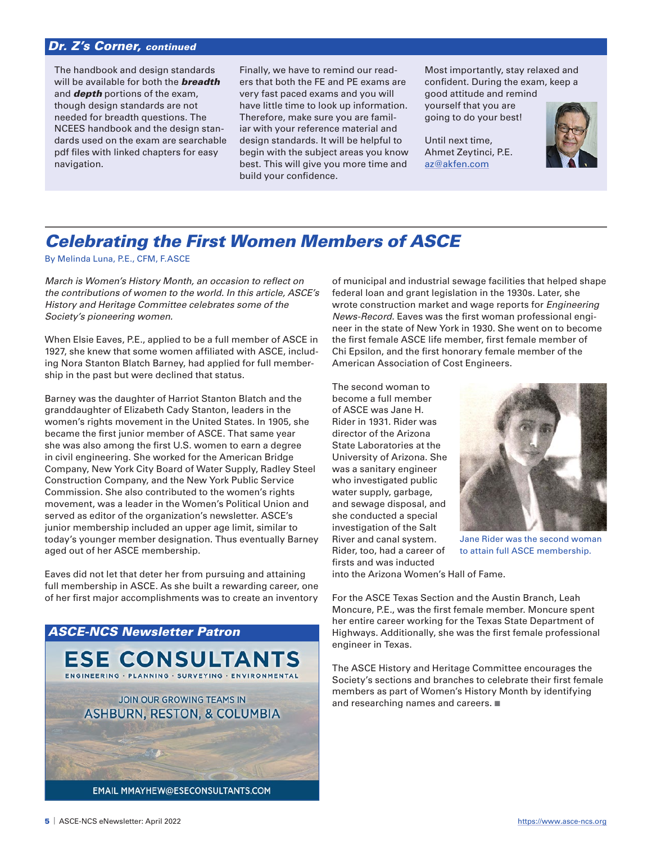## Dr. Z's Corner, continued

The handbook and design standards will be available for both the **breadth** and **depth** portions of the exam, though design standards are not needed for breadth questions. The NCEES handbook and the design standards used on the exam are searchable pdf files with linked chapters for easy navigation.

Finally, we have to remind our readers that both the FE and PE exams are very fast paced exams and you will have little time to look up information. Therefore, make sure you are familiar with your reference material and design standards. It will be helpful to begin with the subject areas you know best. This will give you more time and build your confidence.

Most importantly, stay relaxed and confident. During the exam, keep a good attitude and remind

yourself that you are going to do your best!

Until next time, Ahmet Zeytinci, P.E. [az@akfen.com](mailto:az@akfen.com)



# Celebrating the First Women Members of ASCE

By Melinda Luna, P.E., CFM, F.ASCE

*March is Women's History Month, an occasion to reflect on the contributions of women to the world. In this article, ASCE's History and Heritage Committee celebrates some of the Society's pioneering women.*

When Elsie Eaves, P.E., applied to be a full member of ASCE in 1927, she knew that some women affiliated with ASCE, including Nora Stanton Blatch Barney, had applied for full membership in the past but were declined that status.

Barney was the daughter of Harriot Stanton Blatch and the granddaughter of Elizabeth Cady Stanton, leaders in the women's rights movement in the United States. In 1905, she became the first junior member of ASCE. That same year she was also among the first U.S. women to earn a degree in civil engineering. She worked for the American Bridge Company, New York City Board of Water Supply, Radley Steel Construction Company, and the New York Public Service Commission. She also contributed to the women's rights movement, was a leader in the Women's Political Union and served as editor of the organization's newsletter. ASCE's junior membership included an upper age limit, similar to today's younger member designation. Thus eventually Barney aged out of her ASCE membership.

Eaves did not let that deter her from pursuing and attaining full membership in ASCE. As she built a rewarding career, one of her first major accomplishments was to create an inventory



of municipal and industrial sewage facilities that helped shape federal loan and grant legislation in the 1930s. Later, she wrote construction market and wage reports for *Engineering News-Record*. Eaves was the first woman professional engineer in the state of New York in 1930. She went on to become the first female ASCE life member, first female member of Chi Epsilon, and the first honorary female member of the American Association of Cost Engineers.

The second woman to become a full member of ASCE was Jane H. Rider in 1931. Rider was director of the Arizona State Laboratories at the University of Arizona. She was a sanitary engineer who investigated public water supply, garbage, and sewage disposal, and she conducted a special investigation of the Salt River and canal system. Rider, too, had a career of firsts and was inducted



Jane Rider was the second woman to attain full ASCE membership.

into the Arizona Women's Hall of Fame.

For the ASCE Texas Section and the Austin Branch, Leah Moncure, P.E., was the first female member. Moncure spent her entire career working for the Texas State Department of Highways. Additionally, she was the first female professional engineer in Texas.

The ASCE History and Heritage Committee encourages the Society's sections and branches to celebrate their first female members as part of Women's History Month by identifying and researching names and careers.  $\blacksquare$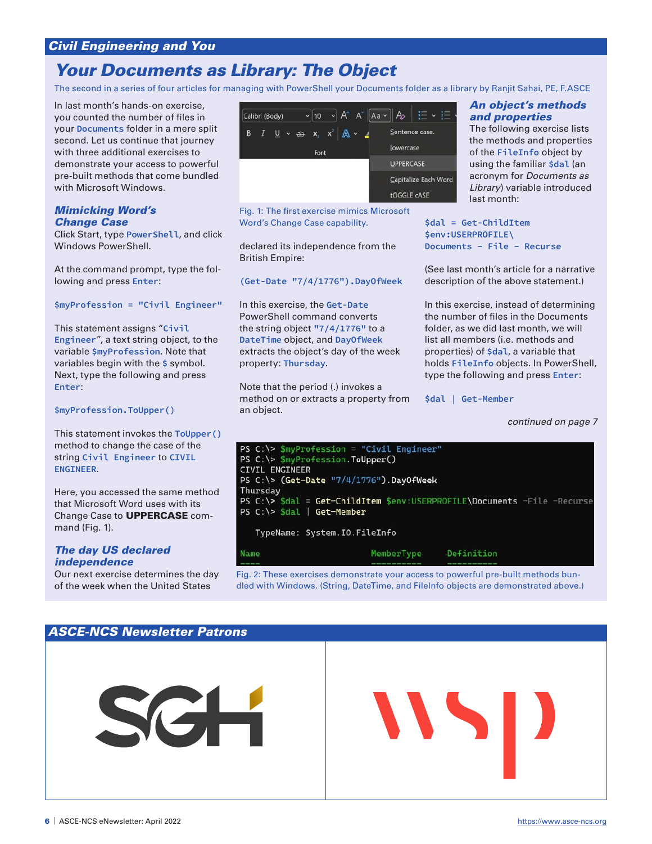# Civil Engineering and You

# Your Documents as Library: The Object

The second in a series of four articles for managing with PowerShell your Documents folder as a library by Ranjit Sahai, PE, F.ASCE

In last month's hands-on exercise, you counted the number of files in your **Documents** folder in a mere split second. Let us continue that journey with three additional exercises to demonstrate your access to powerful pre-built methods that come bundled with Microsoft Windows.

### Mimicking Word's Change Case

Click Start, type **PowerShell**, and click Windows PowerShell.

At the command prompt, type the following and press **Enter**:

#### **\$myProfession = "Civil Engineer"**

This statement assigns "**Civil Engineer**", a text string object, to the variable **\$myProfession**. Note that variables begin with the **\$** symbol. Next, type the following and press **Enter**:

#### **\$myProfession.ToUpper()**

This statement invokes the **ToUpper()** method to change the case of the string **Civil Engineer** to **CIVIL ENGINEER**.

Here, you accessed the same method that Microsoft Word uses with its Change Case to UPPERCASE command (Fig. 1).

### The day US declared independence

Our next exercise determines the day of the week when the United States



Fig. 1: The first exercise mimics Microsoft Word's Change Case capability.

declared its independence from the British Empire:

**(Get-Date "7/4/1776").DayOfWeek**

In this exercise, the **Get-Date** PowerShell command converts the string object **"7/4/1776"** to a **DateTime** object, and **DayOfWeek** extracts the object's day of the week property: **Thursday**.

Note that the period (.) invokes a method on or extracts a property from an object.

### An object's methods and properties

The following exercise lists the methods and properties of the **FileInfo** object by using the familiar **\$dal** (an acronym for *Documents as Library*) variable introduced last month:

**\$dal = Get-ChildItem \$env:USERPROFILE\ Documents – File – Recurse**

(See last month's article for a narrative description of the above statement.)

In this exercise, instead of determining the number of files in the Documents folder, as we did last month, we will list all members (i.e. methods and properties) of **\$dal**, a variable that holds **FileInfo** objects. In PowerShell, type the following and press **Enter**:

**\$dal | Get-Member**

*continued on page 7*

| PS $C:\>$ \$myProfession = "Civil Engineer"                                |                       |  |
|----------------------------------------------------------------------------|-----------------------|--|
| PS C:\> \$myProfession.ToUpper()                                           |                       |  |
| <b>CIVIL ENGINEER</b>                                                      |                       |  |
| PS $C:\$ (Get-Date $"7/4/1776"$ ). DayOfWeek                               |                       |  |
| Thursday                                                                   |                       |  |
| PS $C:\>$ \$dal = Get-ChildItem \$env:USERPROFILE\Documents -File -Recurse |                       |  |
| PS $C:\$ sdal   Get-Member                                                 |                       |  |
|                                                                            |                       |  |
| TypeName: System.IO.FileInfo                                               |                       |  |
|                                                                            |                       |  |
| Name                                                                       | MemberType Definition |  |
|                                                                            |                       |  |

Fig. 2: These exercises demonstrate your access to powerful pre-built methods bundled with Windows. (String, DateTime, and FileInfo objects are demonstrated above.)

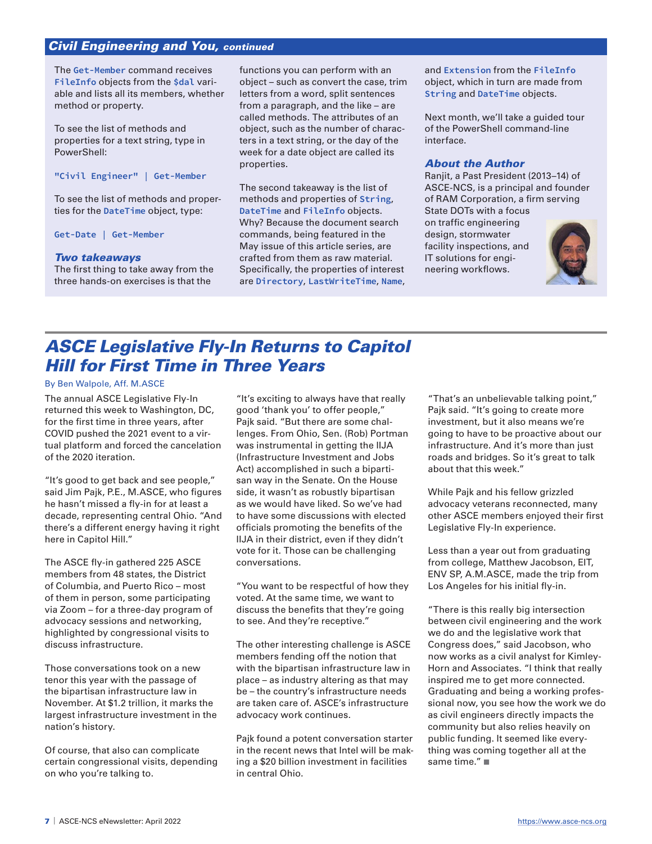## Civil Engineering and You, continued

The **Get-Member** command receives **FileInfo** objects from the **\$dal** variable and lists all its members, whether method or property.

To see the list of methods and properties for a text string, type in PowerShell:

**"Civil Engineer" | Get-Member**

To see the list of methods and properties for the **DateTime** object, type:

**Get-Date | Get-Member**

#### Two takeaways

The first thing to take away from the three hands-on exercises is that the

functions you can perform with an object – such as convert the case, trim letters from a word, split sentences from a paragraph, and the like – are called methods. The attributes of an object, such as the number of characters in a text string, or the day of the week for a date object are called its properties.

The second takeaway is the list of methods and properties of **String**, **DateTime** and **FileInfo** objects. Why? Because the document search commands, being featured in the May issue of this article series, are crafted from them as raw material. Specifically, the properties of interest are **Directory**, **LastWriteTime**, **Name**, and **Extension** from the **FileInfo** object, which in turn are made from **String** and **DateTime** objects.

Next month, we'll take a guided tour of the PowerShell command-line interface.

#### About the Author

Ranjit, a Past President (2013–14) of ASCE-NCS, is a principal and founder of RAM Corporation, a firm serving

State DOTs with a focus on traffic engineering design, stormwater facility inspections, and IT solutions for engineering workflows.



# ASCE Legislative Fly-In Returns to Capitol Hill for First Time in Three Years

### By Ben Walpole, Aff. M.ASCE

The annual ASCE Legislative Fly-In returned this week to Washington, DC, for the first time in three years, after COVID pushed the 2021 event to a virtual platform and forced the cancelation of the 2020 iteration.

"It's good to get back and see people," said Jim Pajk, P.E., M.ASCE, who figures he hasn't missed a fly-in for at least a decade, representing central Ohio. "And there's a different energy having it right here in Capitol Hill."

The ASCE fly-in gathered 225 ASCE members from 48 states, the District of Columbia, and Puerto Rico – most of them in person, some participating via Zoom – for a three-day program of advocacy sessions and networking, highlighted by congressional visits to discuss infrastructure.

Those conversations took on a new tenor this year with the passage of the bipartisan infrastructure law in November. At \$1.2 trillion, it marks the largest infrastructure investment in the nation's history.

Of course, that also can complicate certain congressional visits, depending on who you're talking to.

"It's exciting to always have that really good 'thank you' to offer people," Pajk said. "But there are some challenges. From Ohio, Sen. (Rob) Portman was instrumental in getting the IIJA (Infrastructure Investment and Jobs Act) accomplished in such a bipartisan way in the Senate. On the House side, it wasn't as robustly bipartisan as we would have liked. So we've had to have some discussions with elected officials promoting the benefits of the IIJA in their district, even if they didn't vote for it. Those can be challenging conversations.

"You want to be respectful of how they voted. At the same time, we want to discuss the benefits that they're going to see. And they're receptive."

The other interesting challenge is ASCE members fending off the notion that with the bipartisan infrastructure law in place – as industry altering as that may be – the country's infrastructure needs are taken care of. ASCE's infrastructure advocacy work continues.

Pajk found a potent conversation starter in the recent news that Intel will be making a \$20 billion investment in facilities in central Ohio.

"That's an unbelievable talking point," Pajk said. "It's going to create more investment, but it also means we're going to have to be proactive about our infrastructure. And it's more than just roads and bridges. So it's great to talk about that this week."

While Pajk and his fellow grizzled advocacy veterans reconnected, many other ASCE members enjoyed their first Legislative Fly-In experience.

Less than a year out from graduating from college, Matthew Jacobson, EIT, ENV SP, A.M.ASCE, made the trip from Los Angeles for his initial fly-in.

"There is this really big intersection between civil engineering and the work we do and the legislative work that Congress does," said Jacobson, who now works as a civil analyst for Kimley-Horn and Associates. "I think that really inspired me to get more connected. Graduating and being a working professional now, you see how the work we do as civil engineers directly impacts the community but also relies heavily on public funding. It seemed like everything was coming together all at the same time." $\blacksquare$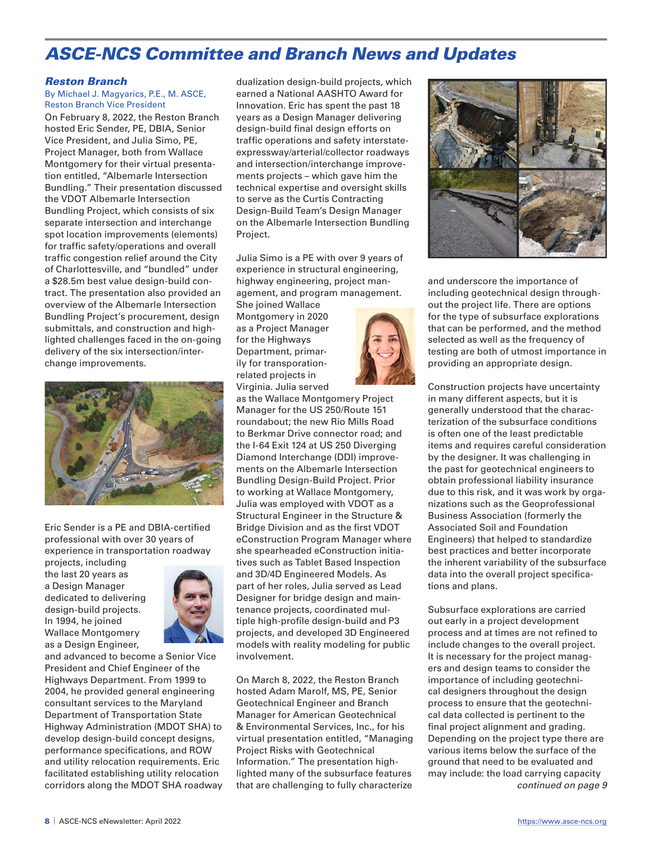# ASCE-NCS Committee and Branch News and Updates

#### Reston Branch

By Michael J. Magyarics, P.E., M. ASCE, Reston Branch Vice President

On February 8, 2022, the Reston Branch hosted Eric Sender, PE, DBIA, Senior Vice President, and Julia Simo, PE, Project Manager, both from Wallace Montgomery for their virtual presentation entitled, "Albemarle Intersection Bundling." Their presentation discussed the VDOT Albemarle Intersection Bundling Project, which consists of six separate intersection and interchange spot location improvements (elements) for traffic safety/operations and overall traffic congestion relief around the City of Charlottesville, and "bundled" under a \$28.5m best value design-build contract. The presentation also provided an overview of the Albemarle Intersection Bundling Project's procurement, design submittals, and construction and highlighted challenges faced in the on-going delivery of the six intersection/interchange improvements.



Eric Sender is a PE and DBIA-certified professional with over 30 years of experience in transportation roadway

projects, including the last 20 years as a Design Manager dedicated to delivering design-build projects. In 1994, he joined Wallace Montgomery as a Design Engineer,



and advanced to become a Senior Vice President and Chief Engineer of the Highways Department. From 1999 to 2004, he provided general engineering consultant services to the Maryland Department of Transportation State Highway Administration (MDOT SHA) to develop design-build concept designs, performance specifications, and ROW and utility relocation requirements. Eric facilitated establishing utility relocation corridors along the MDOT SHA roadway

dualization design-build projects, which earned a National AASHTO Award for Innovation. Eric has spent the past 18 years as a Design Manager delivering design-build final design efforts on traffic operations and safety interstateexpressway/arterial/collector roadways and intersection/interchange improvements projects – which gave him the technical expertise and oversight skills to serve as the Curtis Contracting Design-Build Team's Design Manager on the Albemarle Intersection Bundling Project.

Julia Simo is a PE with over 9 years of experience in structural engineering, highway engineering, project management, and program management.

She joined Wallace Montgomery in 2020 as a Project Manager for the Highways Department, primarily for transporationrelated projects in Virginia. Julia served

as the Wallace Montgomery Project Manager for the US 250/Route 151 roundabout; the new Rio Mills Road to Berkmar Drive connector road; and the I-64 Exit 124 at US 250 Diverging Diamond Interchange (DDI) improvements on the Albemarle Intersection Bundling Design-Build Project. Prior to working at Wallace Montgomery, Julia was employed with VDOT as a Structural Engineer in the Structure & Bridge Division and as the first VDOT eConstruction Program Manager where she spearheaded eConstruction initiatives such as Tablet Based Inspection and 3D/4D Engineered Models. As part of her roles, Julia served as Lead Designer for bridge design and maintenance projects, coordinated multiple high-profile design-build and P3 projects, and developed 3D Engineered models with reality modeling for public involvement.

On March 8, 2022, the Reston Branch hosted Adam Marolf, MS, PE, Senior Geotechnical Engineer and Branch Manager for American Geotechnical & Environmental Services, Inc., for his virtual presentation entitled, "Managing Project Risks with Geotechnical Information." The presentation highlighted many of the subsurface features that are challenging to fully characterize



and underscore the importance of including geotechnical design throughout the project life. There are options for the type of subsurface explorations that can be performed, and the method selected as well as the frequency of testing are both of utmost importance in providing an appropriate design.

Construction projects have uncertainty in many different aspects, but it is generally understood that the characterization of the subsurface conditions is often one of the least predictable items and requires careful consideration by the designer. It was challenging in the past for geotechnical engineers to obtain professional liability insurance due to this risk, and it was work by organizations such as the Geoprofessional Business Association (formerly the Associated Soil and Foundation Engineers) that helped to standardize best practices and better incorporate the inherent variability of the subsurface data into the overall project specifications and plans.

Subsurface explorations are carried out early in a project development process and at times are not refined to include changes to the overall project. It is necessary for the project managers and design teams to consider the importance of including geotechnical designers throughout the design process to ensure that the geotechnical data collected is pertinent to the final project alignment and grading. Depending on the project type there are various items below the surface of the ground that need to be evaluated and may include: the load carrying capacity *continued on page 9*